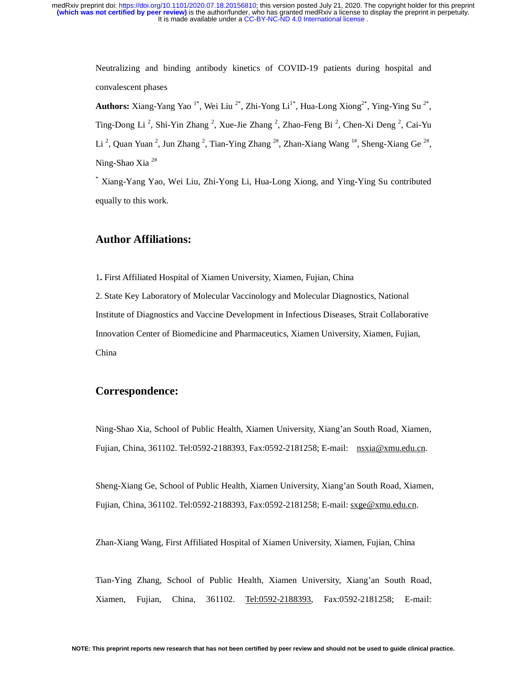> Neutralizing and binding antibody kinetics of COVID-19 patients during hospital and convalescent phases

> **Authors:** Xiang-Yang Yao<sup>1\*</sup>, Wei Liu<sup>2\*</sup>, Zhi-Yong Li<sup>1\*</sup>, Hua-Long Xiong<sup>2\*</sup>, Ying-Ying Su<sup>2\*</sup>, Ting-Dong Li<sup>2</sup>, Shi-Yin Zhang<sup>2</sup>, Xue-Jie Zhang<sup>2</sup>, Zhao-Feng Bi<sup>2</sup>, Chen-Xi Deng<sup>2</sup>, Cai-Yu Li<sup>2</sup>, Quan Yuan<sup>2</sup>, Jun Zhang<sup>2</sup>, Tian-Ying Zhang<sup>2#</sup>, Zhan-Xiang Wang<sup>1#</sup>, Sheng-Xiang Ge<sup>2#</sup>, Ning-Shao Xia 2#

> \* Xiang-Yang Yao, Wei Liu, Zhi-Yong Li, Hua-Long Xiong, and Ying-Ying Su contributed equally to this work.

# **Author Affiliations:**

1**.** First Affiliated Hospital of Xiamen University, Xiamen, Fujian, China

2. State Key Laboratory of Molecular Vaccinology and Molecular Diagnostics, National Institute of Diagnostics and Vaccine Development in Infectious Diseases, Strait Collaborative Innovation Center of Biomedicine and Pharmaceutics, Xiamen University, Xiamen, Fujian, China

# **Correspondence:**

Ning-Shao Xia, School of Public Health, Xiamen University, Xiang'an South Road, Xiamen, Fujian, China, 361102. Tel:0592-2188393, Fax:0592-2181258; E-mail: nsxia@xmu.edu.cn.

Sheng-Xiang Ge, School of Public Health, Xiamen University, Xiang'an South Road, Xiamen, Fujian, China, 361102. Tel:0592-2188393, Fax:0592-2181258; E-mail: sxge@xmu.edu.cn.

Zhan-Xiang Wang, First Affiliated Hospital of Xiamen University, Xiamen, Fujian, China

Tian-Ying Zhang, School of Public Health, Xiamen University, Xiang'an South Road, Xiamen, Fujian, China, 361102. Tel:0592-2188393, Fax:0592-2181258; E-mail: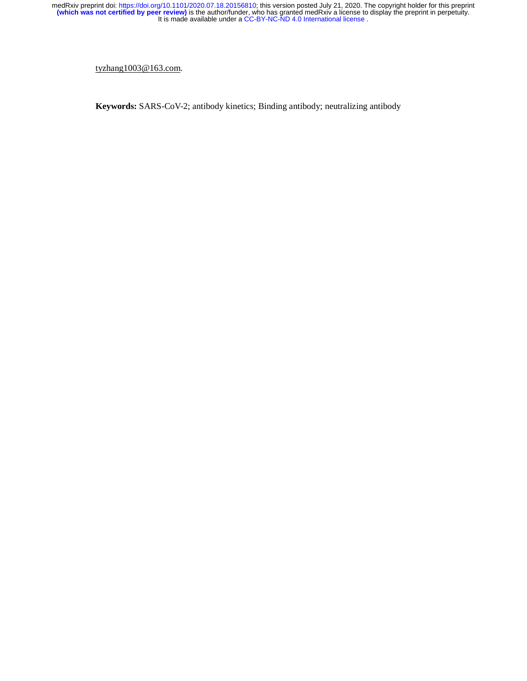tyzhang1003@163.com.

**Keywords:** SARS-CoV-2; antibody kinetics; Binding antibody; neutralizing antibody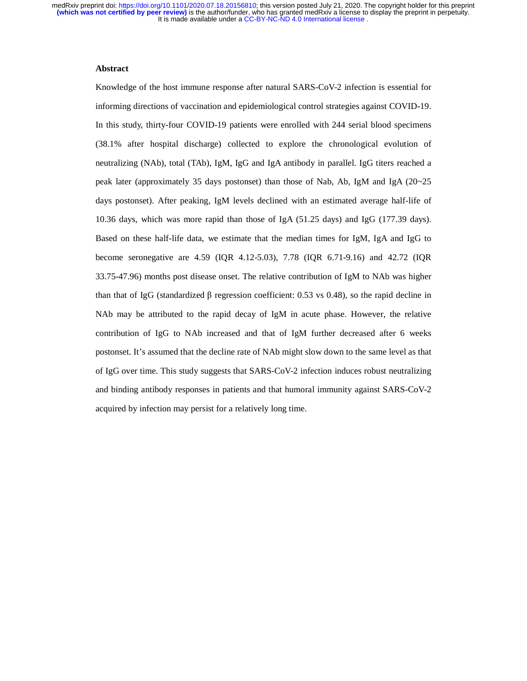# **Abstract**

Knowledge of the host immune response after natural SARS-CoV-2 infection is essential for informing directions of vaccination and epidemiological control strategies against COVID-19. In this study, thirty-four COVID-19 patients were enrolled with 244 serial blood specimens (38.1% after hospital discharge) collected to explore the chronological evolution of neutralizing (NAb), total (TAb), IgM, IgG and IgA antibody in parallel. IgG titers reached a peak later (approximately 35 days postonset) than those of Nab, Ab, IgM and IgA (20~25 days postonset). After peaking, IgM levels declined with an estimated average half-life of 10.36 days, which was more rapid than those of IgA (51.25 days) and IgG (177.39 days). Based on these half-life data, we estimate that the median times for IgM, IgA and IgG to become seronegative are 4.59 (IQR 4.12-5.03), 7.78 (IQR 6.71-9.16) and 42.72 (IQR 33.75-47.96) months post disease onset. The relative contribution of IgM to NAb was higher than that of IgG (standardized β regression coefficient: 0.53 vs 0.48), so the rapid decline in NAb may be attributed to the rapid decay of IgM in acute phase. However, the relative contribution of IgG to NAb increased and that of IgM further decreased after 6 weeks postonset. It's assumed that the decline rate of NAb might slow down to the same level as that of IgG over time. This study suggests that SARS-CoV-2 infection induces robust neutralizing and binding antibody responses in patients and that humoral immunity against SARS-CoV-2 acquired by infection may persist for a relatively long time.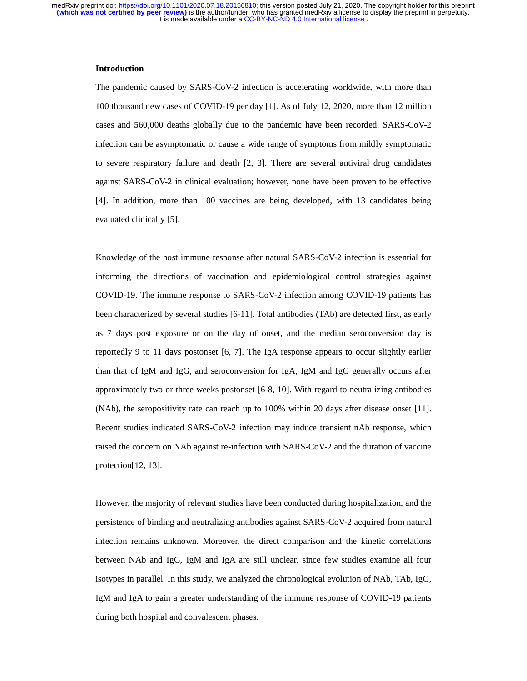# **Introduction**

The pandemic caused by SARS-CoV-2 infection is accelerating worldwide, with more than 100 thousand new cases of COVID-19 per day [1]. As of July 12, 2020, more than 12 million cases and 560,000 deaths globally due to the pandemic have been recorded. SARS-CoV-2 infection can be asymptomatic or cause a wide range of symptoms from mildly symptomatic to severe respiratory failure and death [2, 3]. There are several antiviral drug candidates against SARS-CoV-2 in clinical evaluation; however, none have been proven to be effective [4]. In addition, more than 100 vaccines are being developed, with 13 candidates being evaluated clinically [5].

Knowledge of the host immune response after natural SARS-CoV-2 infection is essential for informing the directions of vaccination and epidemiological control strategies against COVID-19. The immune response to SARS-CoV-2 infection among COVID-19 patients has been characterized by several studies [6-11]. Total antibodies (TAb) are detected first, as early as 7 days post exposure or on the day of onset, and the median seroconversion day is reportedly 9 to 11 days postonset [6, 7]. The IgA response appears to occur slightly earlier than that of IgM and IgG, and seroconversion for IgA, IgM and IgG generally occurs after approximately two or three weeks postonset [6-8, 10]. With regard to neutralizing antibodies (NAb), the seropositivity rate can reach up to 100% within 20 days after disease onset [11]. Recent studies indicated SARS-CoV-2 infection may induce transient nAb response, which raised the concern on NAb against re-infection with SARS-CoV-2 and the duration of vaccine protection[12, 13].

However, the majority of relevant studies have been conducted during hospitalization, and the persistence of binding and neutralizing antibodies against SARS-CoV-2 acquired from natural infection remains unknown. Moreover, the direct comparison and the kinetic correlations between NAb and IgG, IgM and IgA are still unclear, since few studies examine all four isotypes in parallel. In this study, we analyzed the chronological evolution of NAb, TAb, IgG, IgM and IgA to gain a greater understanding of the immune response of COVID-19 patients during both hospital and convalescent phases.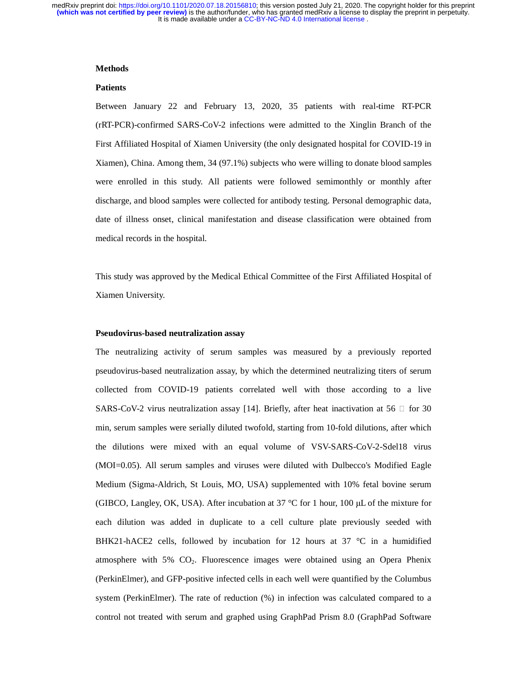### **Methods**

#### **Patients**

Between January 22 and February 13, 2020, 35 patients with real-time RT-PCR (rRT-PCR)-confirmed SARS-CoV-2 infections were admitted to the Xinglin Branch of the First Affiliated Hospital of Xiamen University (the only designated hospital for COVID-19 in Xiamen), China. Among them, 34 (97.1%) subjects who were willing to donate blood samples were enrolled in this study. All patients were followed semimonthly or monthly after discharge, and blood samples were collected for antibody testing. Personal demographic data, date of illness onset, clinical manifestation and disease classification were obtained from medical records in the hospital.

This study was approved by the Medical Ethical Committee of the First Affiliated Hospital of Xiamen University.

### **Pseudovirus-based neutralization assay**

The neutralizing activity of serum samples was measured by a previously reported pseudovirus-based neutralization assay, by which the determined neutralizing titers of serum collected from COVID-19 patients correlated well with those according to a live SARS-CoV-2 virus neutralization assay [14]. Briefly, after heat inactivation at 56  $\Box$  for 30 min, serum samples were serially diluted twofold, starting from 10-fold dilutions, after which the dilutions were mixed with an equal volume of VSV-SARS-CoV-2-Sdel18 virus (MOI=0.05). All serum samples and viruses were diluted with Dulbecco's Modified Eagle Medium (Sigma-Aldrich, St Louis, MO, USA) supplemented with 10% fetal bovine serum (GIBCO, Langley, OK, USA). After incubation at 37 °C for 1 hour, 100 μL of the mixture for each dilution was added in duplicate to a cell culture plate previously seeded with BHK21-hACE2 cells, followed by incubation for 12 hours at 37 °C in a humidified atmosphere with  $5\%$  CO<sub>2</sub>. Fluorescence images were obtained using an Opera Phenix (PerkinElmer), and GFP-positive infected cells in each well were quantified by the Columbus system (PerkinElmer). The rate of reduction (%) in infection was calculated compared to a control not treated with serum and graphed using GraphPad Prism 8.0 (GraphPad Software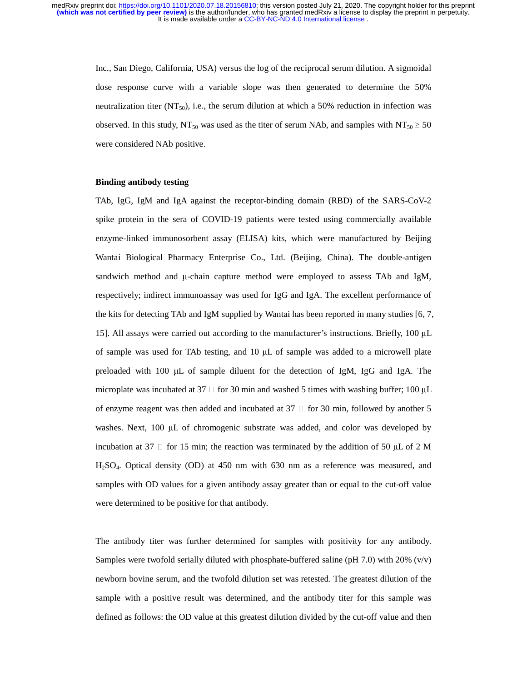Inc., San Diego, California, USA) versus the log of the reciprocal serum dilution. A sigmoidal dose response curve with a variable slope was then generated to determine the 50% neutralization titer ( $NT_{50}$ ), i.e., the serum dilution at which a 50% reduction in infection was observed. In this study, NT<sub>50</sub> was used as the titer of serum NAb, and samples with NT<sub>50</sub>  $\geq$  50 were considered NAb positive.

### **Binding antibody testing**

TAb, IgG, IgM and IgA against the receptor-binding domain (RBD) of the SARS-CoV-2 spike protein in the sera of COVID-19 patients were tested using commercially available enzyme-linked immunosorbent assay (ELISA) kits, which were manufactured by Beijing Wantai Biological Pharmacy Enterprise Co., Ltd. (Beijing, China). The double-antigen sandwich method and μ-chain capture method were employed to assess TAb and IgM, respectively; indirect immunoassay was used for IgG and IgA. The excellent performance of the kits for detecting TAb and IgM supplied by Wantai has been reported in many studies [6, 7, 15]. All assays were carried out according to the manufacturer's instructions. Briefly, 100 μ<sup>L</sup> of sample was used for TAb testing, and 10 μL of sample was added to a microwell plate preloaded with 100 μL of sample diluent for the detection of IgM, IgG and IgA. The microplate was incubated at 37  $\Box$  for 30 min and washed 5 times with washing buffer; 100  $\mu$ L of enzyme reagent was then added and incubated at  $37 \Box$  for 30 min, followed by another 5 washes. Next, 100 μL of chromogenic substrate was added, and color was developed by incubation at 37  $\Box$  for 15 min; the reaction was terminated by the addition of 50  $\mu$ L of 2 M H2SO4. Optical density (OD) at 450 nm with 630 nm as a reference was measured, and samples with OD values for a given antibody assay greater than or equal to the cut-off value were determined to be positive for that antibody.

The antibody titer was further determined for samples with positivity for any antibody. Samples were twofold serially diluted with phosphate-buffered saline (pH  $7.0$ ) with 20% (v/v) newborn bovine serum, and the twofold dilution set was retested. The greatest dilution of the sample with a positive result was determined, and the antibody titer for this sample was defined as follows: the OD value at this greatest dilution divided by the cut-off value and then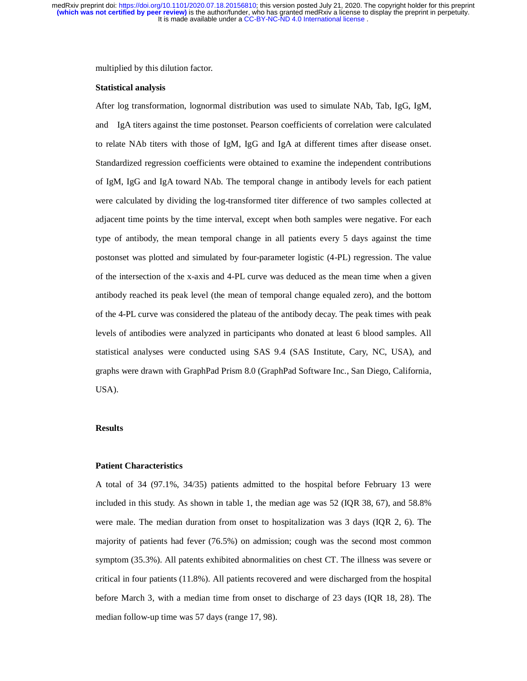multiplied by this dilution factor.

### **Statistical analysis**

After log transformation, lognormal distribution was used to simulate NAb, Tab, IgG, IgM, and IgA titers against the time postonset. Pearson coefficients of correlation were calculated to relate NAb titers with those of IgM, IgG and IgA at different times after disease onset. Standardized regression coefficients were obtained to examine the independent contributions of IgM, IgG and IgA toward NAb. The temporal change in antibody levels for each patient were calculated by dividing the log-transformed titer difference of two samples collected at adjacent time points by the time interval, except when both samples were negative. For each type of antibody, the mean temporal change in all patients every 5 days against the time postonset was plotted and simulated by four-parameter logistic (4-PL) regression. The value of the intersection of the x-axis and 4-PL curve was deduced as the mean time when a given antibody reached its peak level (the mean of temporal change equaled zero), and the bottom of the 4-PL curve was considered the plateau of the antibody decay. The peak times with peak levels of antibodies were analyzed in participants who donated at least 6 blood samples. All statistical analyses were conducted using SAS 9.4 (SAS Institute, Cary, NC, USA), and graphs were drawn with GraphPad Prism 8.0 (GraphPad Software Inc., San Diego, California, USA).

### **Results**

### **Patient Characteristics**

A total of 34 (97.1%, 34/35) patients admitted to the hospital before February 13 were included in this study. As shown in table 1, the median age was 52 (IQR 38, 67), and 58.8% were male. The median duration from onset to hospitalization was 3 days (IQR 2, 6). The majority of patients had fever (76.5%) on admission; cough was the second most common symptom (35.3%). All patents exhibited abnormalities on chest CT. The illness was severe or critical in four patients (11.8%). All patients recovered and were discharged from the hospital before March 3, with a median time from onset to discharge of 23 days (IQR 18, 28). The median follow-up time was 57 days (range 17, 98).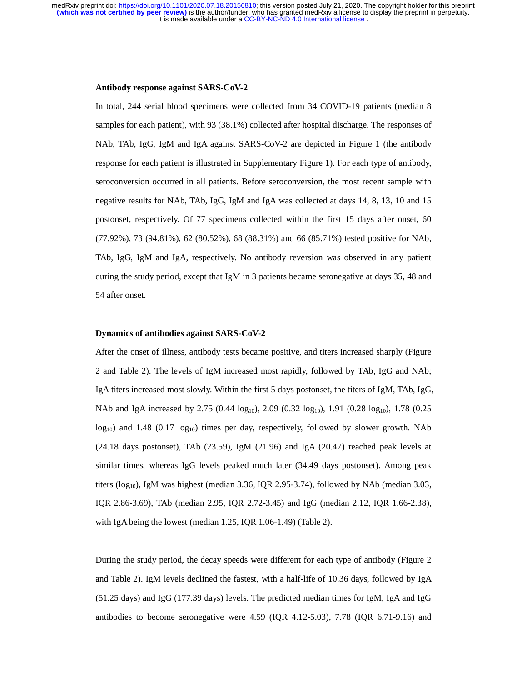It is made available under a [CC-BY-NC-ND 4.0 International license](http://creativecommons.org/licenses/by-nc-nd/4.0/) . **(which was not certified by peer review)** is the author/funder, who has granted medRxiv a license to display the preprint in perpetuity. medRxiv preprint doi: [https://doi.org/10.1101/2020.07.18.20156810;](https://doi.org/10.1101/2020.07.18.20156810) this version posted July 21, 2020. The copyright holder for this preprint

#### **Antibody response against SARS-CoV-2**

In total, 244 serial blood specimens were collected from 34 COVID-19 patients (median 8 samples for each patient), with 93 (38.1%) collected after hospital discharge. The responses of NAb, TAb, IgG, IgM and IgA against SARS-CoV-2 are depicted in Figure 1 (the antibody response for each patient is illustrated in Supplementary Figure 1). For each type of antibody, seroconversion occurred in all patients. Before seroconversion, the most recent sample with negative results for NAb, TAb, IgG, IgM and IgA was collected at days 14, 8, 13, 10 and 15 postonset, respectively. Of 77 specimens collected within the first 15 days after onset, 60 (77.92%), 73 (94.81%), 62 (80.52%), 68 (88.31%) and 66 (85.71%) tested positive for NAb, TAb, IgG, IgM and IgA, respectively. No antibody reversion was observed in any patient during the study period, except that IgM in 3 patients became seronegative at days 35, 48 and 54 after onset.

#### **Dynamics of antibodies against SARS-CoV-2**

After the onset of illness, antibody tests became positive, and titers increased sharply (Figure 2 and Table 2). The levels of IgM increased most rapidly, followed by TAb, IgG and NAb; IgA titers increased most slowly. Within the first 5 days postonset, the titers of IgM, TAb, IgG, NAb and IgA increased by 2.75 (0.44  $log_{10}$ ), 2.09 (0.32  $log_{10}$ ), 1.91 (0.28  $log_{10}$ ), 1.78 (0.25  $log_{10}$ ) and 1.48 (0.17  $log_{10}$ ) times per day, respectively, followed by slower growth. NAb (24.18 days postonset), TAb (23.59), IgM (21.96) and IgA (20.47) reached peak levels at similar times, whereas IgG levels peaked much later (34.49 days postonset). Among peak titers ( $log_{10}$ ), IgM was highest (median 3.36, IQR 2.95-3.74), followed by NAb (median 3.03, IQR 2.86-3.69), TAb (median 2.95, IQR 2.72-3.45) and IgG (median 2.12, IQR 1.66-2.38), with IgA being the lowest (median 1.25, IQR 1.06-1.49) (Table 2).

During the study period, the decay speeds were different for each type of antibody (Figure 2 and Table 2). IgM levels declined the fastest, with a half-life of 10.36 days, followed by IgA (51.25 days) and IgG (177.39 days) levels. The predicted median times for IgM, IgA and IgG antibodies to become seronegative were 4.59 (IQR 4.12-5.03), 7.78 (IQR 6.71-9.16) and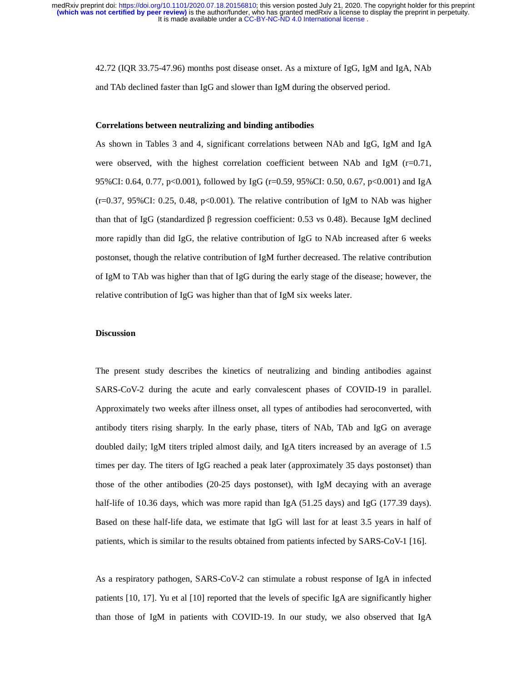It is made available under a [CC-BY-NC-ND 4.0 International license](http://creativecommons.org/licenses/by-nc-nd/4.0/) . **(which was not certified by peer review)** is the author/funder, who has granted medRxiv a license to display the preprint in perpetuity. medRxiv preprint doi: [https://doi.org/10.1101/2020.07.18.20156810;](https://doi.org/10.1101/2020.07.18.20156810) this version posted July 21, 2020. The copyright holder for this preprint

> 42.72 (IQR 33.75-47.96) months post disease onset. As a mixture of IgG, IgM and IgA, NAb and TAb declined faster than IgG and slower than IgM during the observed period.

#### **Correlations between neutralizing and binding antibodies**

As shown in Tables 3 and 4, significant correlations between NAb and IgG, IgM and IgA were observed, with the highest correlation coefficient between NAb and IgM  $(r=0.71,$ 95%CI: 0.64, 0.77, p<0.001), followed by IgG (r=0.59, 95%CI: 0.50, 0.67, p<0.001) and IgA  $(r=0.37, 95\%$ CI: 0.25, 0.48, p<0.001). The relative contribution of IgM to NAb was higher than that of IgG (standardized β regression coefficient: 0.53 vs 0.48). Because IgM declined more rapidly than did IgG, the relative contribution of IgG to NAb increased after 6 weeks postonset, though the relative contribution of IgM further decreased. The relative contribution of IgM to TAb was higher than that of IgG during the early stage of the disease; however, the relative contribution of IgG was higher than that of IgM six weeks later.

#### **Discussion**

The present study describes the kinetics of neutralizing and binding antibodies against SARS-CoV-2 during the acute and early convalescent phases of COVID-19 in parallel. Approximately two weeks after illness onset, all types of antibodies had seroconverted, with antibody titers rising sharply. In the early phase, titers of NAb, TAb and IgG on average doubled daily; IgM titers tripled almost daily, and IgA titers increased by an average of 1.5 times per day. The titers of IgG reached a peak later (approximately 35 days postonset) than those of the other antibodies (20-25 days postonset), with IgM decaying with an average half-life of 10.36 days, which was more rapid than IgA (51.25 days) and IgG (177.39 days). Based on these half-life data, we estimate that IgG will last for at least 3.5 years in half of patients, which is similar to the results obtained from patients infected by SARS-CoV-1 [16].

As a respiratory pathogen, SARS-CoV-2 can stimulate a robust response of IgA in infected patients [10, 17]. Yu et al [10] reported that the levels of specific IgA are significantly higher than those of IgM in patients with COVID-19. In our study, we also observed that IgA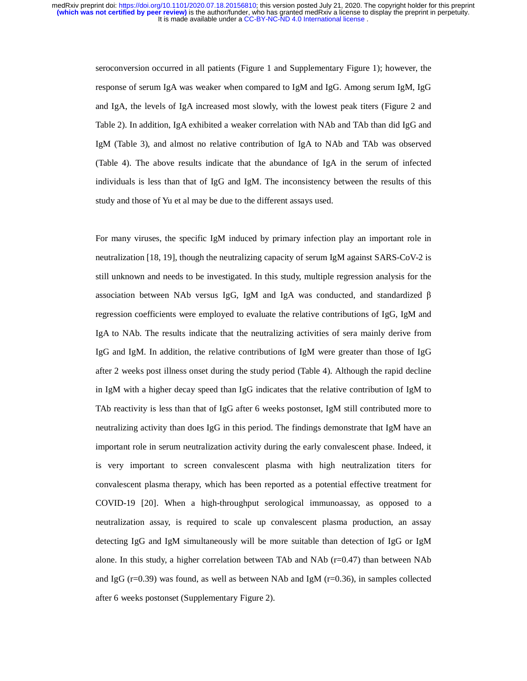seroconversion occurred in all patients (Figure 1 and Supplementary Figure 1); however, the response of serum IgA was weaker when compared to IgM and IgG. Among serum IgM, IgG and IgA, the levels of IgA increased most slowly, with the lowest peak titers (Figure 2 and Table 2). In addition, IgA exhibited a weaker correlation with NAb and TAb than did IgG and IgM (Table 3), and almost no relative contribution of IgA to NAb and TAb was observed (Table 4). The above results indicate that the abundance of IgA in the serum of infected individuals is less than that of IgG and IgM. The inconsistency between the results of this study and those of Yu et al may be due to the different assays used.

For many viruses, the specific IgM induced by primary infection play an important role in neutralization [18, 19], though the neutralizing capacity of serum IgM against SARS-CoV-2 is still unknown and needs to be investigated. In this study, multiple regression analysis for the association between NAb versus IgG, IgM and IgA was conducted, and standardized <sup>β</sup> regression coefficients were employed to evaluate the relative contributions of IgG, IgM and IgA to NAb. The results indicate that the neutralizing activities of sera mainly derive from IgG and IgM. In addition, the relative contributions of IgM were greater than those of IgG after 2 weeks post illness onset during the study period (Table 4). Although the rapid decline in IgM with a higher decay speed than IgG indicates that the relative contribution of IgM to TAb reactivity is less than that of IgG after 6 weeks postonset, IgM still contributed more to neutralizing activity than does IgG in this period. The findings demonstrate that IgM have an important role in serum neutralization activity during the early convalescent phase. Indeed, it is very important to screen convalescent plasma with high neutralization titers for convalescent plasma therapy, which has been reported as a potential effective treatment for COVID-19 [20]. When a high-throughput serological immunoassay, as opposed to a neutralization assay, is required to scale up convalescent plasma production, an assay detecting IgG and IgM simultaneously will be more suitable than detection of IgG or IgM alone. In this study, a higher correlation between TAb and NAb  $(r=0.47)$  than between NAb and IgG  $(r=0.39)$  was found, as well as between NAb and IgM  $(r=0.36)$ , in samples collected after 6 weeks postonset (Supplementary Figure 2).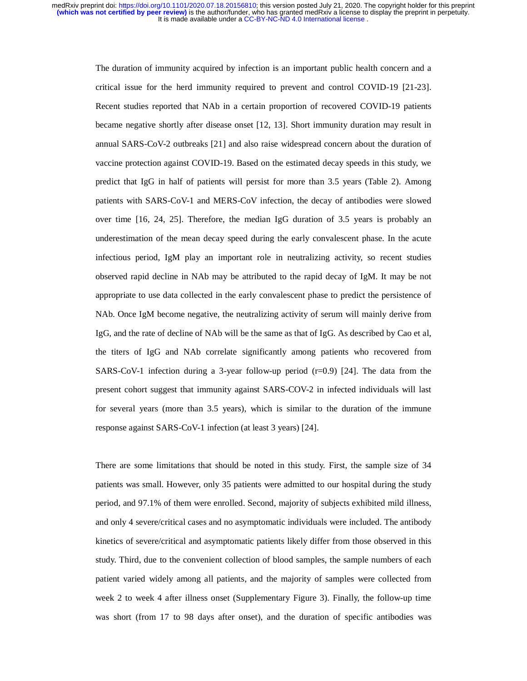> The duration of immunity acquired by infection is an important public health concern and a critical issue for the herd immunity required to prevent and control COVID-19 [21-23]. Recent studies reported that NAb in a certain proportion of recovered COVID-19 patients became negative shortly after disease onset [12, 13]. Short immunity duration may result in annual SARS-CoV-2 outbreaks [21] and also raise widespread concern about the duration of vaccine protection against COVID-19. Based on the estimated decay speeds in this study, we predict that IgG in half of patients will persist for more than 3.5 years (Table 2). Among patients with SARS-CoV-1 and MERS-CoV infection, the decay of antibodies were slowed over time [16, 24, 25]. Therefore, the median IgG duration of 3.5 years is probably an underestimation of the mean decay speed during the early convalescent phase. In the acute infectious period, IgM play an important role in neutralizing activity, so recent studies observed rapid decline in NAb may be attributed to the rapid decay of IgM. It may be not appropriate to use data collected in the early convalescent phase to predict the persistence of NAb. Once IgM become negative, the neutralizing activity of serum will mainly derive from IgG, and the rate of decline of NAb will be the same as that of IgG. As described by Cao et al, the titers of IgG and NAb correlate significantly among patients who recovered from SARS-CoV-1 infection during a 3-year follow-up period  $(r=0.9)$  [24]. The data from the present cohort suggest that immunity against SARS-COV-2 in infected individuals will last for several years (more than 3.5 years), which is similar to the duration of the immune response against SARS-CoV-1 infection (at least 3 years) [24].

> There are some limitations that should be noted in this study. First, the sample size of 34 patients was small. However, only 35 patients were admitted to our hospital during the study period, and 97.1% of them were enrolled. Second, majority of subjects exhibited mild illness, and only 4 severe/critical cases and no asymptomatic individuals were included. The antibody kinetics of severe/critical and asymptomatic patients likely differ from those observed in this study. Third, due to the convenient collection of blood samples, the sample numbers of each patient varied widely among all patients, and the majority of samples were collected from week 2 to week 4 after illness onset (Supplementary Figure 3). Finally, the follow-up time was short (from 17 to 98 days after onset), and the duration of specific antibodies was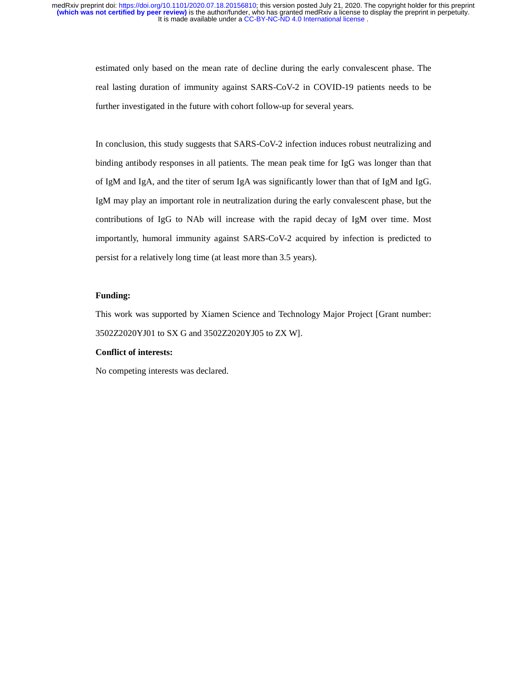> estimated only based on the mean rate of decline during the early convalescent phase. The real lasting duration of immunity against SARS-CoV-2 in COVID-19 patients needs to be further investigated in the future with cohort follow-up for several years.

> In conclusion, this study suggests that SARS-CoV-2 infection induces robust neutralizing and binding antibody responses in all patients. The mean peak time for IgG was longer than that of IgM and IgA, and the titer of serum IgA was significantly lower than that of IgM and IgG. IgM may play an important role in neutralization during the early convalescent phase, but the contributions of IgG to NAb will increase with the rapid decay of IgM over time. Most importantly, humoral immunity against SARS-CoV-2 acquired by infection is predicted to persist for a relatively long time (at least more than 3.5 years).

# **Funding:**

This work was supported by Xiamen Science and Technology Major Project [Grant number: 3502Z2020YJ01 to SX G and 3502Z2020YJ05 to ZX W].

# **Conflict of interests:**

No competing interests was declared.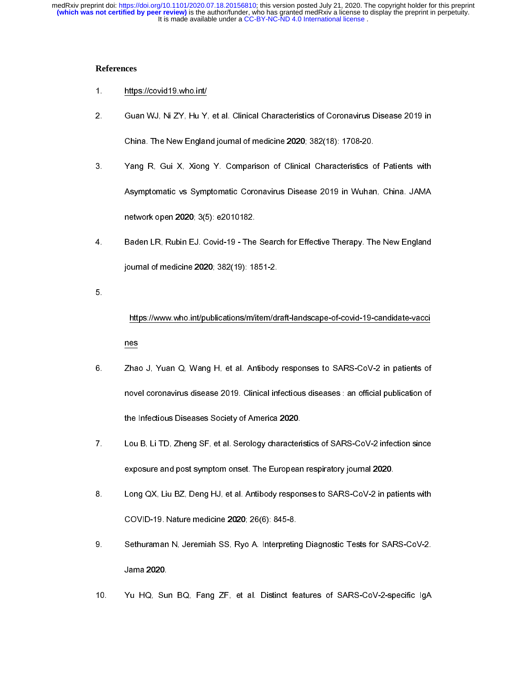# **References**

- 
- 
- 2. Guan WJ, Ni ZY, Hu Y,<br>China. The New Englan<br>3. Yang R, Gui X, Xiong<br>Asymptomatic vs Symp<br>network open 2020; 3(5<br>4. Baden LR, Rubin EJ. C<br>journal of medicine 202<br>5. https://www.who.int/pu<br>nes<br>2hao J, Yuan Q, Wang<br>novel c 2. Ghina. The New England journal of medicine 2020; 382(18): 1708-20.<br>
2. Yang R, Gui X, Xiong Y. Comparison of Clinical Characteristics of Patients with<br>
Asymptomatic vs Symptomatic Coronavirus Disease 2019 in Wuhan, Chin Example 1820 Martin England Journal of Maria Processions of Clinical Characteristics of Maymptomatic vs Symptomatic Coronavirus Disease 2019 in Wuhar<br>network open 2020; 3(5): e2010182.<br>Baden LR, Rubin EJ. Covid-19 - The Se
- 

- 3. Yang R, Gui X, Symptomatic Coronavirus Disease 2019 in Wuhan, China. JAMA<br>
1. Baden LR, Rubin EJ, Covid-19 The Search for Effective Therapy. The New England<br>
1. Baden LR, Rubin EJ, Covid-19 The Search for Effective Asymptomate vs Symptomate Coronavirus Coronavirus Coronavirus Coronavirus Disease 2019<br>
Astelen LR, Rubin EJ, Covid-19 - The Search for Effective Therapy. The New England<br>
iournal of medicine 2020; 382(19): 1851-2.<br>
https: Baden LR, Rubin EJ. Covid-19 - The<br>journal of medicine 2020; 382(19): 18<br>https://www.who.int/publications/m/i<br>nes<br>Zhao J, Yuan Q, Wang H, et al. An<br>novel coronavirus disease 2019. Clin<br>the Infectious Diseases Society of An 4. Baden Letter The European respiratory journal of medicine 2020, 382(19): 1851-2.<br>
5.<br>
https://www.who.int/publications/m/item/draft-landscape-of-covid-19-candidate-vacci<br>
1988<br>
2. Zhao J. Yuan Q. Wang H. et al. Antibody Jaman of meantain and protect of the medicine internal internal mesons.<br>
That a J, Yuan Q, Wang H, et al. Antibody<br>
novel coronavirus disease 2019. Clinical int<br>
the Infectious Diseases Society of America<br>
Lou B, Li TD, Zh 6.<br>5.<br>7.<br>8.<br>9. https://www.who.int/publications/mass.com/states/mass.com/states/m/item/draft-landscape-of-covid-coronavirus diseases 2019. Clinical infectious diseases : an official publication of<br>the Infectious Diseases Society of Ameri nes Example a term of the infectious disease 2019. Clinical infectious diseases : an official publication of<br>the Infectious Diseases Society of America 2020.<br>Zhao H, Li TD, Zheng SF, et al. Serology characteristics of SARS-CoV
- novel coronavirus diseases Society of America 2020.<br>
Lou B, Li TD, Zheng SF, et al. Serology characteristics of SARS-CoV-2 infection since<br>
exposure and post symptom onset. The European respiratory journal 2020.<br>
Long QX, the Infectious District 2011, 2018 Strathford District<br>
Exposure and post symptom onset. The Europear<br>
Long QX, Liu BZ, Deng HJ, et al. Antibody respon<br>
COVID-19. Nature medicine 2020; 26(6): 845-8.<br>
Sethuraman N, Jeremiah
- exposure and post symptom onset. The European respiratory journal 2020.<br>
8. Long QX, Liu BZ, Deng HJ, et al. Antibody responses to SARS-CoV-2 in patients with<br>
COVID-19. Nature medicine 2020; 26(6): 845-8.<br>
9. Sethuraman N expose to SARS-CoV-2 in particular and post-particular and post-particular poster.<br>
Long QX, Liu BZ, Deng HJ, et al. Antibody responses to SARS-CoV-2 in pa<br>
COVID-19. Nature medicine 2020; 26(6): 845-8.<br>
Sethuraman N, Jere
- 8. COVID-19. Nature medicine 2020; 26(6): 845-8.<br>Sethuraman N, Jeremiah SS, Ryo A. Interpreting Diagnostic Tests for SARS-CoV-2.<br>Jama 2020.<br>10. Yu HQ, Sun BQ, Fang ZF, et al. Distinct features of SARS-CoV-2-specific IgA Sethuraman N, Jeremiah SS, Ryo A. Interpretin<br>Jama 2020.<br>Yu HQ, Sun BQ, Fang ZF, et al. Distinct fe 9. Setheman M, Jeremiah Strategy, Premius Diagnostic Testas for San Maria Strategy<br>Jama 2020.<br>10. Yu HQ, Sun BQ, Fang ZF, et al. Distinct features of SARS-CoV-2-specific IgA
- Yu HQ, Su<br>Jama<br> 10. Yu HQ, Sun BQ, Fang ZF, et al. Distinct features of SARS-Cov-2-specific IgA<br>- Sars-Cov-2-specific IgA<br>- Sars-Cov-2-specific IgA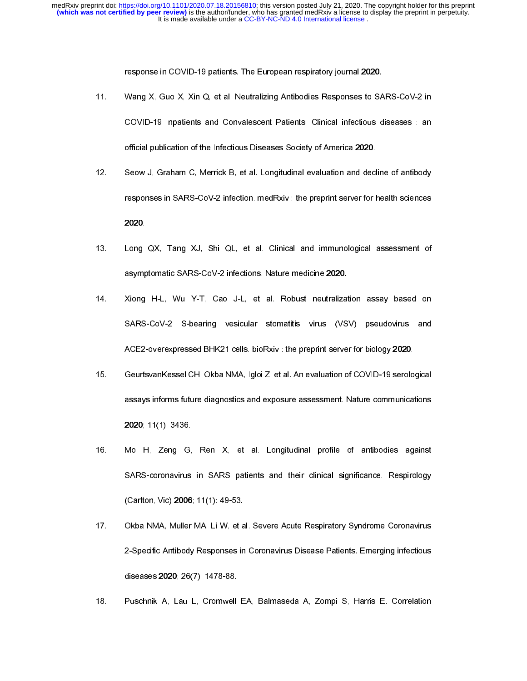It is made available under a [CC-BY-NC-ND 4.0 International license](http://creativecommons.org/licenses/by-nc-nd/4.0/) . **(which was not certified by peer review)** is the author/funder, who has granted medRxiv a license to display the preprint in perpetuity. medRxiv preprint doi: [https://doi.org/10.1101/2020.07.18.20156810;](https://doi.org/10.1101/2020.07.18.20156810) this version posted July 21, 2020. The copyright holder for this preprint

- 
- 
- 
- responses to SA<br>COVID-19 Inpatients and Convalescent Patients. Clinical infectious dofficial publication of the Infectious Diseases Society of America 2020.<br>Seow J. Graham C. Merrick B. et al. Longitudinal evaluation and d 11. COVID-19 Inpatients and Convalescent Patients. Clinical infectious diseases : an<br>12. Seow J, Graham C, Merrick B, et al. Longitudinal evaluation and decline of antibody<br>12. Seow J, Graham C, Merrick B, et al. Longitudi official publication of the Infectious Diseases Society of America 2020.<br>
Seow J. Graham C. Merrick B. et al. Longitudinal evaluation and decline of antibody<br>
responses in SARS-CoV-2 infection. medRxiv : the preprint serve Seow J, Graham C, Merrick B, et al. Longitudinal evaluation and decl<br>
responses in SARS-CoV-2 infection. medRxiv : the preprint server for the Inference SARS-CoV-2 infections. Nature medicine 2020.<br>
2020.<br>
2020.<br>
2020.<br>
20
- 
- 12. Separation Mark Covid interaction medicing the proprint server for health sciences<br>
12. Long QX, Tang XJ, Shi QL, et al. Clinical and immunological assessment of<br>
13. Long QX, Tang XJ, Shi QL, et al. Clinical and immun reponses in SARS-CoV-2 infections. Nature medicine 2020.<br>
Long QX, Tang XJ, Shi QL, et al. Clinical and immunological assessment of<br>
asymptomatic SARS-CoV-2 infections. Nature medicine 2020.<br>
Xiong H-L, Wu Y-T, Cao J-L, et ----<br>Long<br>asymr<br>Xiong<br>SARS<br>ACE2<br>Geurts<br>assays<br>2020;<br>Mo F<br>SARS<br>(Carltd<br>Okba<br>2-Spe 13. Long H-L, Wu Y-T, Cao J-L, et al. Robust neutralization assay based on<br>14. Xiong H-L, Wu Y-T, Cao J-L, et al. Robust neutralization assay based on<br>14. SARS-CoV-2 S-bearing vesicular stomatitis virus (VSV) pseudovirus a 2. Singletter Mindels, 2020, 2020; 2020, 2020; 2020, 2020, 2020, 2020, 2020, 2020, 2020, 2020, 2020, 2020, 2020, 2020, 2020, 2020, 2020, 2020, 2020, 2020, 2020, 2020, 2020, 2020, 2020, 2020, 2020, 2020, 2020, 2020, 2020, 2 14. SARS-CoV-2 S-bearing vesicular stomatis virus (VSV) pseudovirus and<br>
14. ACE2-overexpressed BHK21 cells. bioRxiv : the preprint server for biology 2020.<br>
14. Geurtsvan Kessel CH, Okba NMA, Igloi Z, et al. An evaluation SCE2-overexpressed BHK21 cells. bioRxiv : the preprint server for biology 2020.<br>
SeurtsvanKessel CH, Okba NMA, Igloi Z, et al. An evaluation of COVID-19 serological<br>
assays informs future diagnostics and exposure assessmen Geurtsvan Kessel CH, Okba NMA, Igloi Z, et al. An evaluation of COVID-19 serolo<br>assays informs future diagnostics and exposure assessment. Nature communical<br>2020; 11(1): 3436.<br>Mo H, Zeng G, Ren X, et al. Longitudinal profi 15. George assessment. Nature communications<br>
16. Mo H, Zeng G, Ren X, et al. Longitudinal profile of antibodies against<br>
16. Mo H, Zeng G, Ren X, et al. Longitudinal profile of antibodies against<br>
16. George SARS-coronavi 2020; 11(1): 3436.<br>
Mo H. Zeng G. Ren X, et al. Longitudinal profile of antibodies against<br>
SARS-coronavirus in SARS patients and their clinical significance. Respirology<br>
(Carlton, Vic) 2006; 11(1): 49-53.<br>
Okba NMA, Mull 2020; 11(1): 3438<br>Mo H, Zeng G,<br>SARS-coronavirus<br>(Carlton, Vic) 2006<br>Okba NMA, Muller<br>2-Specific Antibody<br>diseases 2020; 26(<br>Puschnik A, Lau I
- 16. Mo SARS-coronavirus in SARS patients and their clinical significance. Respirology<br>16. Mo A, Muller MA, Li W, et al. Severe Acute Respiratory Syndrome Coronavirus<br>16. Okba NMA, Muller MA, Li W, et al. Severe Acute Respi Carlton, Vic) 2006; 11(1): 49-53.<br>Ckba NMA, Muller MA, Li W, et al. Severe Acute Respiratory Syndrome Coronavirus<br>2-Specific Antibody Responses in Coronavirus Disease Patients. Emerging infectious<br>diseases 2020; 26(7): 147 Okba NMA, Muller MA, Li W, et a<br>2-Specific Antibody Responses in<br>diseases 2020; 26(7): 1478-88.<br>Puschnik A, Lau L, Cromwell E 17. 2-Specific Antibody Responses in Coronavirus Disease Patients. Emerging infectious<br>diseases 2020; 26(7): 1478-88.<br>18. Puschnik A, Lau L, Cromwell EA, Balmaseda A, Zompi S, Harris E. Correlation diseases 2020; 26(7): 1478-88.<br>Puschnik A, Lau L, Cromwell EA, Balmaseda A, Zompi S, Harris E. Correlation<br>.
- niseases 2021; 26(7): 1478-88.<br>Puschnik A, Lau L, Cromwell 18. Puschnik A, Lau L, Cromwell EA, Balmaseda A, Zompi S, Harris E. Correlation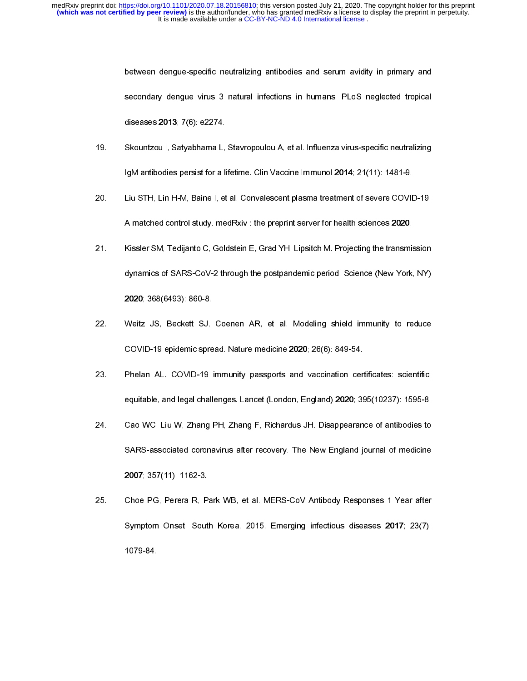- 
- 
- secondary dengue-virus 3 natural infections in humans. PLoS neglected tropical<br>diseases 2013; 7(6): e2274.<br>Skountzou I. Satyabhama L. Stavropoulou A, et al. Influenza virus-specific neutralizing<br>IgM antibodies persist for secondary dengue virus 4 numeral inference of manufactors in protections of diseases 2013, 7(6): e2274.<br>Skountzou I, Satyabhama L, Stavropoulou A, et al. Influenza virus specific neutralizing<br>IgM antibodies persist for a l Skountzou I, Satyabhama L,<br>IgM antibodies persist for a li<br>Liu STH, Lin H-M, Baine I, et<br>A matched control study. me<br>Kissler SM, Tedijanto C, Gold<br>dynamics of SARS-CoV-2 th<br>2020; 368(6493): 860-8.<br>Weitz JS, Beckett SJ, Co<br>
- 
- 
- 1gM antibodies persist for a lifetime. Clin Vaccine Immunol 2014, 21(11): 1481-9.<br>
20. Liu STH, Lin H-M, Baine I, et al. Convalescent plasma treatment of severe COVID-19:<br>
4 matched control study, medRxiv : the preprint se Unity STH, Lin H-M, Baine I, et al. Convalescent plasma treatment of severe COVID<br>A matched control study, medRxiv : the preprint server for health sciences 2020.<br>Kissler SM, Tedijanto C, Goldstein E, Grad YH, Lipsitch M, 21. Kissler SM, Tedlijanto C, Goldstein E, Grad YH, Lipsitch M. Projecting the transmission<br>21. Kissler SM, Tedijanto C, Goldstein E, Grad YH, Lipsitch M. Projecting the transmission<br>4) Amarics of SARS-CoV-2 through the po
- A matrice entire transported control in the preprint server for health science (New York, Nissler SM, Tedijanto C, Goldstein E, Grad YH, Lipsitch M. Projecting the transmit dynamics of SARS-CoV-2 through the postpandemic p dynamics of SARS-CoV-2 through the postpandemic period. Science (New York, NY)<br>
2020: 368(6493): 860-8.<br>
Weitz JS. Beckett SJ. Coenen AR. et al. Modeling shield immunity to reduce<br>
COVID-19 epidemic spread. Nature medicine 2020; 368(6493): 860-8.<br>
Weitz JS, Beckett SJ, Coenen AR, et al. Modeling shield immunity to reduce<br>
COVID-19 epidemic spread. Nature medicine 2020; 26(6): 849-54.<br>
Phelan AL, COVID-19 immunity passports and vaccination ce 2021, 2021, 2021, 2021, 2021, 2021, 2021, 2021, 2021, 2021, 2021, 2021, 2021, 2021, 2021, 2021, 2021, 2021, 2021, 2020, 2021, 357(11): 1162-3. Choe PG, Perera R, Pa Symptom Onset, South 1079-84. COVID-19 epidemic spread. Nature medicine 2020; 26(6): 849-54.<br>
22. Phelan AL. COVID-19 immunity passports and vaccination certificates: scientific,<br>
equitable, and legal challenges. Lancet (London, England) 2020; 395(1023 Phelan AL. COVID-19 immunity passports and vaccination cerequitable, and legal challenges. Lancet (London, England) 2020; 35<br>Cao WC, Liu W, Zhang PH, Zhang F, Richardus JH. Disappearan<br>SARS-associated coronavirus after rec equitable, and legal challenges. Lancet (London, England) 2020; 395(10237): 1595-8.<br>24. Cao WC, Liu W, Zhang PH, Zhang F, Richardus JH. Disappearance of antibodies to<br>5ARS-associated coronavirus after recovery. The New Eng exercise of antibodies to same of antibodies to SARS-associated coronavirus after recovery. The New England journal of medicine 2007; 357(11): 1162-3.<br>2007; 357(11): 1162-3.<br>Choe PG, Perera R, Park WB, et al. MERS-CoV Anti 24. Can We have the United States and States and SARS-associated coronavirus after recovery. The New England journal of medicine<br>2007: 357(11): 1162-3.<br>25. Choe PG, Perera R, Park WB, et al. MERS-CoV Antibody Responses 1 Y 2007; 357(11): 1162-3.<br>Choe PG, Perera R, Park WB, et al. MERS-CoV Antibody Responses 1 Year after<br>Symptom Onset, South Korea, 2015. Emerging infectious diseases 2017; 23(7):<br>1079-84. Choe PG, Perera R, P<br>Symptom Onset, Sout<br>1079-84. Symptom Onset, South Korea, 2015. Emerging infectious diseases 2017; 23(7):<br>1079-84.  $S$ <br>Symptom Onset, Symptom Onset, South Korea, 2015. Emerging infectious diseases 2017; 23(7): 23(7): 23(7): 23(7): 23(7): 23(7): 23(7): 23(7): 23(7): 23(7): 23(7): 23(7): 23(7): 23(7): 23(7): 23(7): 23(7): 23(7): 23(7):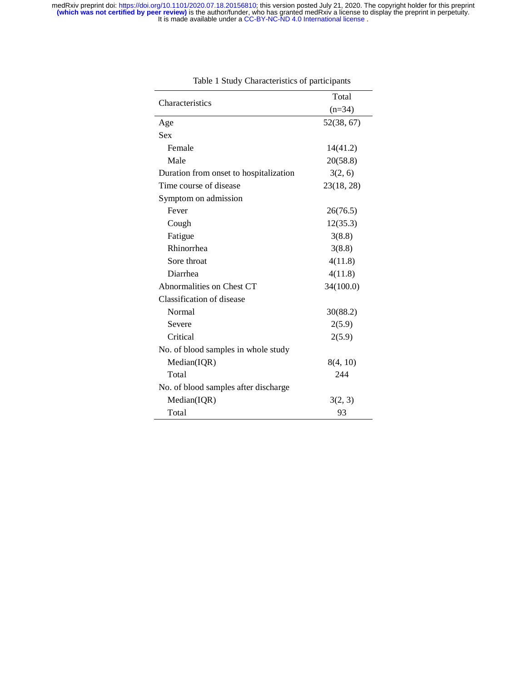|                                        | Total      |  |
|----------------------------------------|------------|--|
| Characteristics                        | $(n=34)$   |  |
| Age                                    | 52(38, 67) |  |
| <b>Sex</b>                             |            |  |
| Female                                 | 14(41.2)   |  |
| Male                                   | 20(58.8)   |  |
| Duration from onset to hospitalization | 3(2, 6)    |  |
| Time course of disease                 | 23(18, 28) |  |
| Symptom on admission                   |            |  |
| Fever                                  | 26(76.5)   |  |
| Cough                                  | 12(35.3)   |  |
| Fatigue                                | 3(8.8)     |  |
| Rhinorrhea                             | 3(8.8)     |  |
| Sore throat                            | 4(11.8)    |  |
| Diarrhea                               | 4(11.8)    |  |
| Abnormalities on Chest CT              | 34(100.0)  |  |
| Classification of disease              |            |  |
| Normal                                 | 30(88.2)   |  |
| Severe                                 | 2(5.9)     |  |
| Critical                               | 2(5.9)     |  |
| No. of blood samples in whole study    |            |  |
| Median(IQR)                            | 8(4, 10)   |  |
| Total                                  | 244        |  |
| No. of blood samples after discharge   |            |  |
| Median(IQR)                            | 3(2, 3)    |  |
| Total                                  | 93         |  |

Table 1 Study Characteristics of participants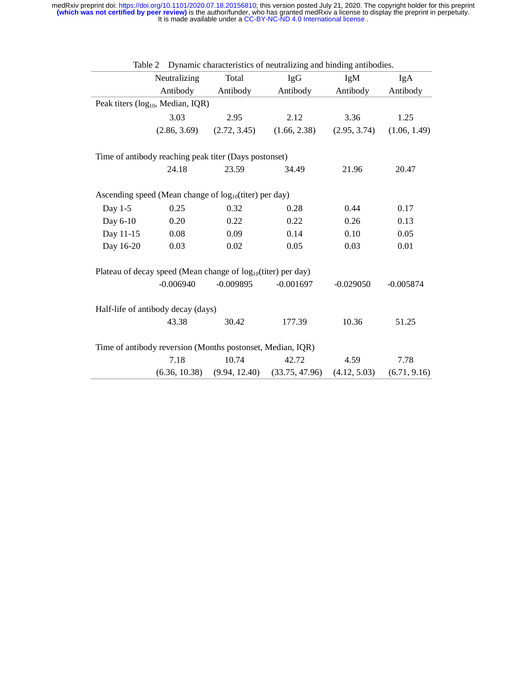|           |                                                                    |               | Table 2 Dynamic characteristics of neutralizing and binding antibodies. |              |              |
|-----------|--------------------------------------------------------------------|---------------|-------------------------------------------------------------------------|--------------|--------------|
|           | Neutralizing                                                       | Total         | <b>IgG</b>                                                              | IgM          | IgA          |
|           | Antibody                                                           | Antibody      | Antibody                                                                | Antibody     | Antibody     |
|           | Peak titers (log <sub>10</sub> , Median, IQR)                      |               |                                                                         |              |              |
|           | 3.03                                                               | 2.95          | 2.12                                                                    | 3.36         | 1.25         |
|           | (2.86, 3.69)                                                       | (2.72, 3.45)  | (1.66, 2.38)                                                            | (2.95, 3.74) | (1.06, 1.49) |
|           | Time of antibody reaching peak titer (Days postonset)              |               |                                                                         |              |              |
|           | 24.18                                                              | 23.59         | 34.49                                                                   | 21.96        | 20.47        |
|           | Ascending speed (Mean change of log <sub>10</sub> (titer) per day) |               |                                                                         |              |              |
| Day 1-5   | 0.25                                                               | 0.32          | 0.28                                                                    | 0.44         | 0.17         |
| Day 6-10  | 0.20                                                               | 0.22          | 0.22                                                                    | 0.26         | 0.13         |
| Day 11-15 | $0.08\,$                                                           | 0.09          | 0.14                                                                    | 0.10         | 0.05         |
| Day 16-20 | 0.03                                                               | 0.02          | 0.05                                                                    | 0.03         | 0.01         |
|           | Plateau of decay speed (Mean change of $log_{10}(titer)$ per day)  |               |                                                                         |              |              |
|           | $-0.006940$                                                        | $-0.009895$   | $-0.001697$                                                             | $-0.029050$  | $-0.005874$  |
|           | Half-life of antibody decay (days)                                 |               |                                                                         |              |              |
|           | 43.38                                                              | 30.42         | 177.39                                                                  | 10.36        | 51.25        |
|           | Time of antibody reversion (Months postonset, Median, IQR)         |               |                                                                         |              |              |
|           | 7.18                                                               | 10.74         | 42.72                                                                   | 4.59         | 7.78         |
|           | (6.36, 10.38)                                                      | (9.94, 12.40) | (33.75, 47.96)                                                          | (4.12, 5.03) | (6.71, 9.16) |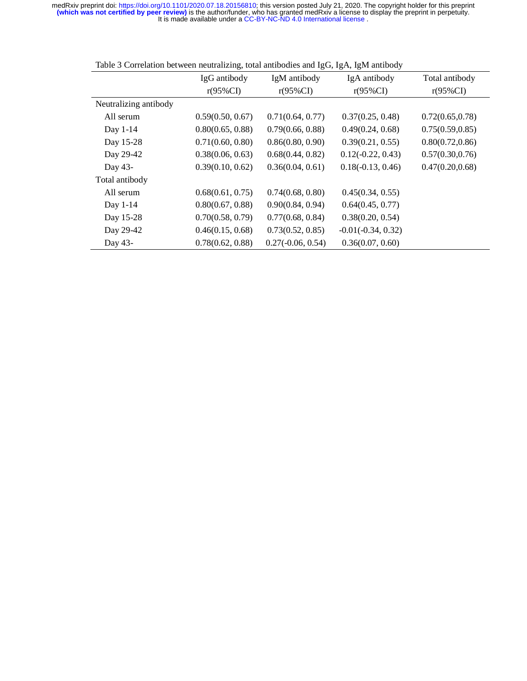|                       | IgG antibody     | IgM antibody        | IgA antibody         | Total antibody   |
|-----------------------|------------------|---------------------|----------------------|------------------|
|                       | $r(95\%CI)$      | $r(95\%CI)$         | $r(95\%CI)$          | $r(95\%CI)$      |
| Neutralizing antibody |                  |                     |                      |                  |
| All serum             | 0.59(0.50, 0.67) | 0.71(0.64, 0.77)    | 0.37(0.25, 0.48)     | 0.72(0.65, 0.78) |
| Day 1-14              | 0.80(0.65, 0.88) | 0.79(0.66, 0.88)    | 0.49(0.24, 0.68)     | 0.75(0.59, 0.85) |
| Day 15-28             | 0.71(0.60, 0.80) | 0.86(0.80, 0.90)    | 0.39(0.21, 0.55)     | 0.80(0.72, 0.86) |
| Day 29-42             | 0.38(0.06, 0.63) | 0.68(0.44, 0.82)    | $0.12(-0.22, 0.43)$  | 0.57(0.30, 0.76) |
| Day 43-               | 0.39(0.10, 0.62) | 0.36(0.04, 0.61)    | $0.18(-0.13, 0.46)$  | 0.47(0.20, 0.68) |
| Total antibody        |                  |                     |                      |                  |
| All serum             | 0.68(0.61, 0.75) | 0.74(0.68, 0.80)    | 0.45(0.34, 0.55)     |                  |
| Day 1-14              | 0.80(0.67, 0.88) | 0.90(0.84, 0.94)    | 0.64(0.45, 0.77)     |                  |
| Day 15-28             | 0.70(0.58, 0.79) | 0.77(0.68, 0.84)    | 0.38(0.20, 0.54)     |                  |
| Day 29-42             | 0.46(0.15, 0.68) | 0.73(0.52, 0.85)    | $-0.01(-0.34, 0.32)$ |                  |
| Day 43-               | 0.78(0.62, 0.88) | $0.27(-0.06, 0.54)$ | 0.36(0.07, 0.60)     |                  |

Table 3 Correlation between neutralizing, total antibodies and IgG, IgA, IgM antibody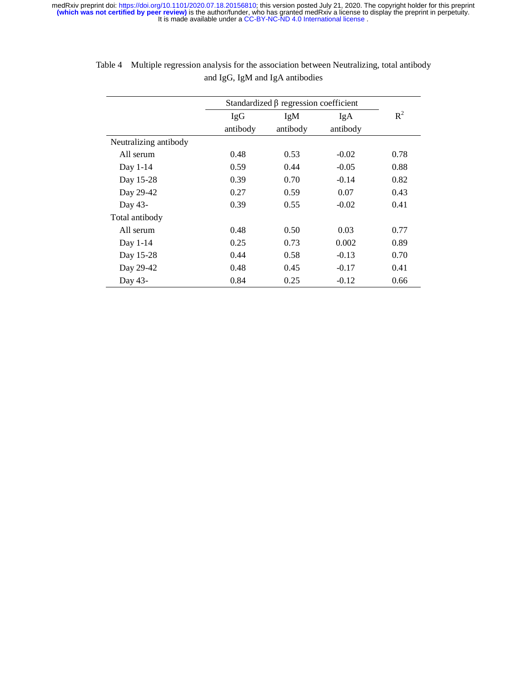|                       | Standardized $\beta$ regression coefficient |          |          |       |
|-----------------------|---------------------------------------------|----------|----------|-------|
|                       | <b>IgG</b>                                  | IgM      | IgA      | $R^2$ |
|                       | antibody                                    | antibody | antibody |       |
| Neutralizing antibody |                                             |          |          |       |
| All serum             | 0.48                                        | 0.53     | $-0.02$  | 0.78  |
| Day 1-14              | 0.59                                        | 0.44     | $-0.05$  | 0.88  |
| Day 15-28             | 0.39                                        | 0.70     | $-0.14$  | 0.82  |
| Day 29-42             | 0.27                                        | 0.59     | 0.07     | 0.43  |
| Day 43-               | 0.39                                        | 0.55     | $-0.02$  | 0.41  |
| Total antibody        |                                             |          |          |       |
| All serum             | 0.48                                        | 0.50     | 0.03     | 0.77  |
| Day 1-14              | 0.25                                        | 0.73     | 0.002    | 0.89  |
| Day 15-28             | 0.44                                        | 0.58     | $-0.13$  | 0.70  |
| Day 29-42             | 0.48                                        | 0.45     | $-0.17$  | 0.41  |
| Day 43-               | 0.84                                        | 0.25     | $-0.12$  | 0.66  |

| Table 4 Multiple regression analysis for the association between Neutralizing, total antibody |
|-----------------------------------------------------------------------------------------------|
| and IgG, IgM and IgA antibodies                                                               |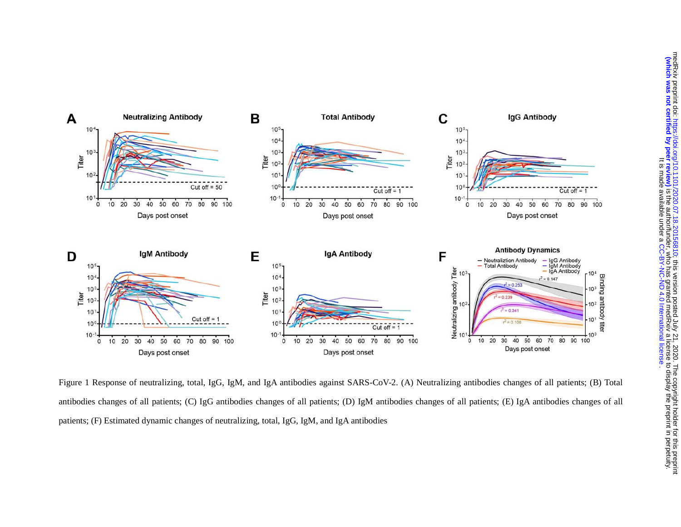

Figure 1 Response of neutralizing, total, IgG, IgM, and IgA antibodies against SARS-CoV-2. (A) Neutralizing antibodies changes of all patients; (B) Total antibodies changes of all patients; (C) IgG antibodies changes of all patients; (D) IgM antibodies changes of all patients; (E) IgA antibodies changes of all patients; (F) Estimated dynamic changes of neutralizing, total, IgG, IgM, and IgA antibodies